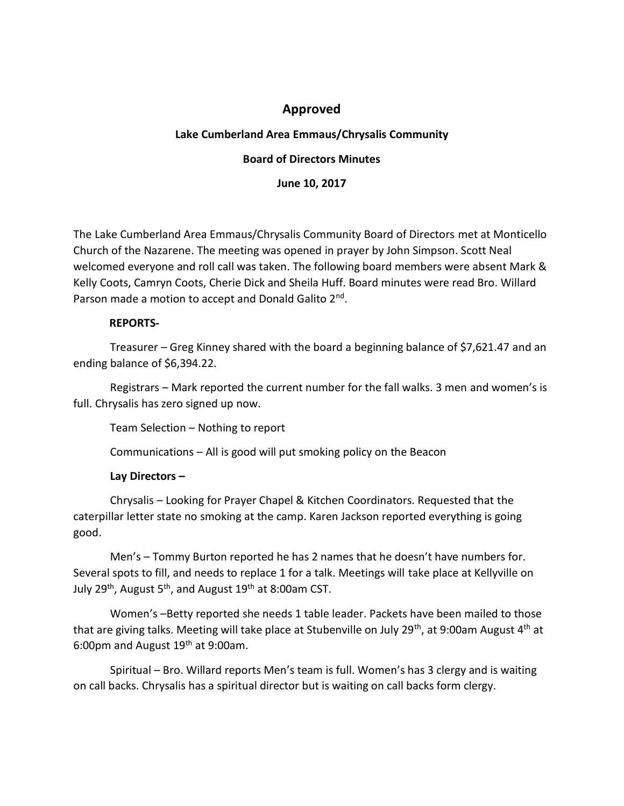# **Approved**

## **Lake Cumberland Area Emmaus/Chrysalis Community**

#### **Board of Directors Minutes**

**June 10, 2017**

The Lake Cumberland Area Emmaus/Chrysalis Community Board of Directors met at Monticello Church of the Nazarene. The meeting was opened in prayer by John Simpson. Scott Neal welcomed everyone and roll call was taken. The following board members were absent Mark & Kelly Coots, Camryn Coots, Cherie Dick and Sheila Huff. Board minutes were read Bro. Willard Parson made a motion to accept and Donald Galito 2<sup>nd</sup>.

#### **REPORTS-**

Treasurer – Greg Kinney shared with the board a beginning balance of \$7,621.47 and an ending balance of \$6,394.22.

Registrars – Mark reported the current number for the fall walks. 3 men and women's is full. Chrysalis has zero signed up now.

Team Selection – Nothing to report

Communications – All is good will put smoking policy on the Beacon

## **Lay Directors –**

Chrysalis – Looking for Prayer Chapel & Kitchen Coordinators. Requested that the caterpillar letter state no smoking at the camp. Karen Jackson reported everything is going good.

Men's – Tommy Burton reported he has 2 names that he doesn't have numbers for. Several spots to fill, and needs to replace 1 for a talk. Meetings will take place at Kellyville on July 29<sup>th</sup>, August 5<sup>th</sup>, and August 19<sup>th</sup> at 8:00am CST.

Women's –Betty reported she needs 1 table leader. Packets have been mailed to those that are giving talks. Meeting will take place at Stubenville on July 29<sup>th</sup>, at 9:00am August  $4<sup>th</sup>$  at 6:00pm and August 19th at 9:00am.

Spiritual – Bro. Willard reports Men's team is full. Women's has 3 clergy and is waiting on call backs. Chrysalis has a spiritual director but is waiting on call backs form clergy.